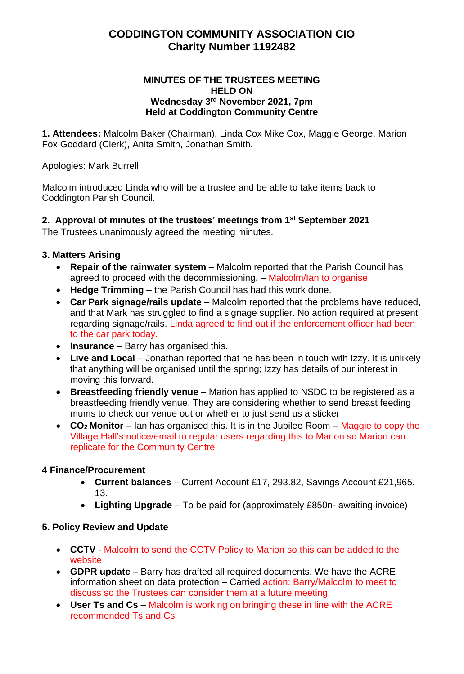# **CODDINGTON COMMUNITY ASSOCIATION CIO Charity Number 1192482**

#### **MINUTES OF THE TRUSTEES MEETING HELD ON Wednesday 3 rd November 2021, 7pm Held at Coddington Community Centre**

**1. Attendees:** Malcolm Baker (Chairman), Linda Cox Mike Cox, Maggie George, Marion Fox Goddard (Clerk), Anita Smith, Jonathan Smith.

Apologies: Mark Burrell

Malcolm introduced Linda who will be a trustee and be able to take items back to Coddington Parish Council.

**2. Approval of minutes of the trustees' meetings from 1 st September 2021** The Trustees unanimously agreed the meeting minutes.

### **3. Matters Arising**

- **Repair of the rainwater system –** Malcolm reported that the Parish Council has agreed to proceed with the decommissioning. – Malcolm/Ian to organise
- **Hedge Trimming –** the Parish Council has had this work done.
- **Car Park signage/rails update –** Malcolm reported that the problems have reduced, and that Mark has struggled to find a signage supplier. No action required at present regarding signage/rails. Linda agreed to find out if the enforcement officer had been to the car park today.
- **Insurance –** Barry has organised this.
- **Live and Local** Jonathan reported that he has been in touch with Izzy. It is unlikely that anything will be organised until the spring; Izzy has details of our interest in moving this forward.
- **Breastfeeding friendly venue –** Marion has applied to NSDC to be registered as a breastfeeding friendly venue. They are considering whether to send breast feeding mums to check our venue out or whether to just send us a sticker
- **CO2 Monitor** Ian has organised this. It is in the Jubilee Room Maggie to copy the Village Hall's notice/email to regular users regarding this to Marion so Marion can replicate for the Community Centre

### **4 Finance/Procurement**

- **Current balances** Current Account £17, 293.82, Savings Account £21,965. 13.
- **Lighting Upgrade** To be paid for (approximately £850n- awaiting invoice)

### **5. Policy Review and Update**

- **CCTV** Malcolm to send the CCTV Policy to Marion so this can be added to the website
- **GDPR update** Barry has drafted all required documents. We have the ACRE information sheet on data protection – Carried action: Barry/Malcolm to meet to discuss so the Trustees can consider them at a future meeting.
- **User Ts and Cs –** Malcolm is working on bringing these in line with the ACRE recommended Ts and Cs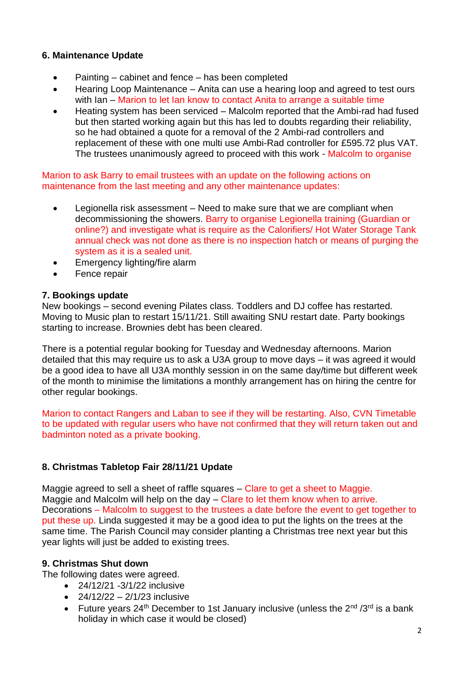## **6. Maintenance Update**

- Painting cabinet and fence has been completed
- Hearing Loop Maintenance Anita can use a hearing loop and agreed to test ours with Ian – Marion to let Ian know to contact Anita to arrange a suitable time
- Heating system has been serviced Malcolm reported that the Ambi-rad had fused but then started working again but this has led to doubts regarding their reliability, so he had obtained a quote for a removal of the 2 Ambi-rad controllers and replacement of these with one multi use Ambi-Rad controller for £595.72 plus VAT. The trustees unanimously agreed to proceed with this work - Malcolm to organise

### Marion to ask Barry to email trustees with an update on the following actions on maintenance from the last meeting and any other maintenance updates:

- Legionella risk assessment Need to make sure that we are compliant when decommissioning the showers. Barry to organise Legionella training (Guardian or online?) and investigate what is require as the Calorifiers/ Hot Water Storage Tank annual check was not done as there is no inspection hatch or means of purging the system as it is a sealed unit.
- Emergency lighting/fire alarm
- Fence repair

#### **7. Bookings update**

New bookings – second evening Pilates class. Toddlers and DJ coffee has restarted. Moving to Music plan to restart 15/11/21. Still awaiting SNU restart date. Party bookings starting to increase. Brownies debt has been cleared.

There is a potential regular booking for Tuesday and Wednesday afternoons. Marion detailed that this may require us to ask a U3A group to move days – it was agreed it would be a good idea to have all U3A monthly session in on the same day/time but different week of the month to minimise the limitations a monthly arrangement has on hiring the centre for other regular bookings.

Marion to contact Rangers and Laban to see if they will be restarting. Also, CVN Timetable to be updated with regular users who have not confirmed that they will return taken out and badminton noted as a private booking.

# **8. Christmas Tabletop Fair 28/11/21 Update**

Maggie agreed to sell a sheet of raffle squares – Clare to get a sheet to Maggie. Maggie and Malcolm will help on the day – Clare to let them know when to arrive. Decorations – Malcolm to suggest to the trustees a date before the event to get together to put these up. Linda suggested it may be a good idea to put the lights on the trees at the same time. The Parish Council may consider planting a Christmas tree next year but this year lights will just be added to existing trees.

### **9. Christmas Shut down**

The following dates were agreed.

- 24/12/21 -3/1/22 inclusive
- $24/12/22 2/1/23$  inclusive
- Future years  $24<sup>th</sup>$  December to 1st January inclusive (unless the  $2<sup>nd</sup>$  /3<sup>rd</sup> is a bank holiday in which case it would be closed)